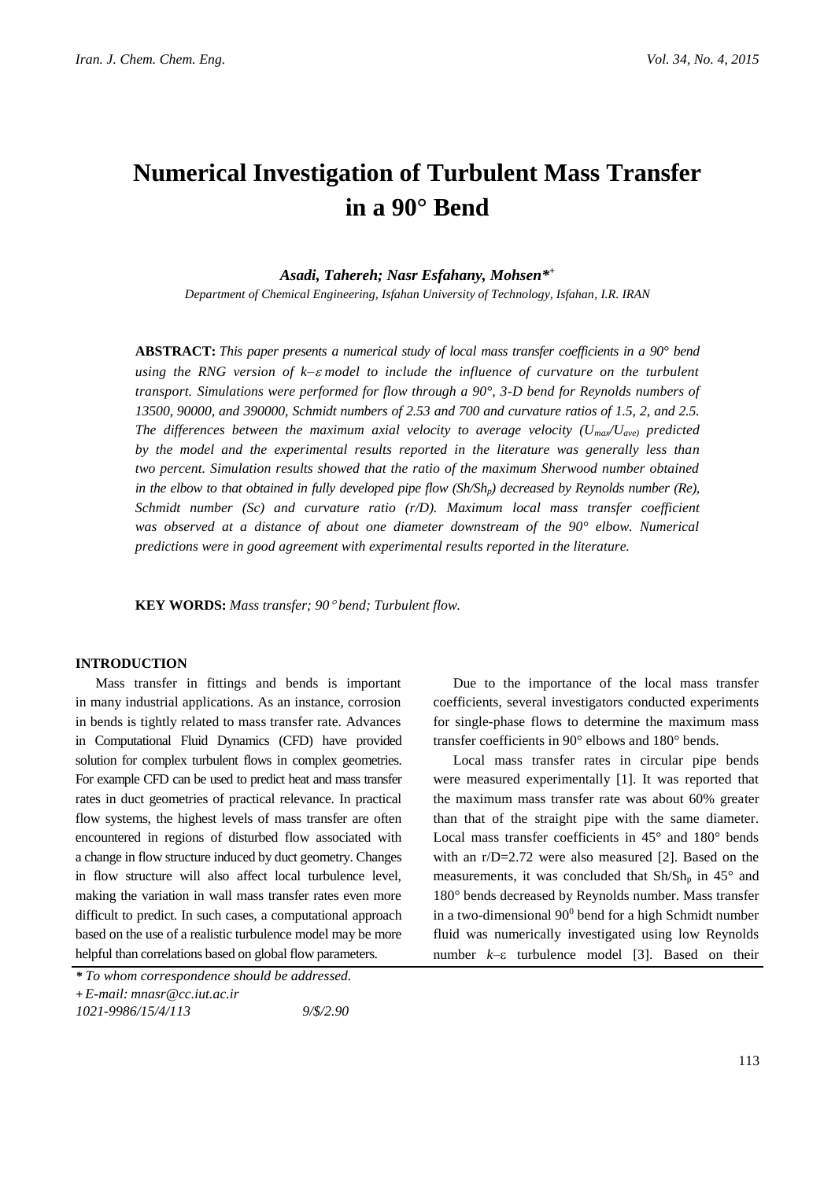# **Numerical Investigation of Turbulent Mass Transfer in a 90° Bend**

*Asadi, Tahereh; Nasr Esfahany, Mohsen\* +*

*Department of Chemical Engineering, Isfahan University of Technology, Isfahan, I.R. IRAN*

**ABSTRACT:** *This paper presents a numerical study of local mass transfer coefficients in a 90° bend using the RNG version of k–* $\varepsilon$  *model to include the influence of curvature on the turbulent transport. Simulations were performed for flow through a 90°, 3-D bend for Reynolds numbers of 13500, 90000, and 390000, Schmidt numbers of 2.53 and 700 and curvature ratios of 1.5, 2, and 2.5. The differences between the maximum axial velocity to average velocity (Umax/Uave) predicted by the model and the experimental results reported in the literature was generally less than two percent. Simulation results showed that the ratio of the maximum Sherwood number obtained in the elbow to that obtained in fully developed pipe flow (Sh/Shp) decreased by Reynolds number (Re), Schmidt number (Sc) and curvature ratio (r/D). Maximum local mass transfer coefficient*  was observed at a distance of about one diameter downstream of the 90° elbow. Numerical *predictions were in good agreement with experimental results reported in the literature.*

**KEY WORDS:** *Mass transfer; 90 bend; Turbulent flow.*

#### **INTRODUCTION**

Mass transfer in fittings and bends is important in many industrial applications. As an instance, corrosion in bends is tightly related to mass transfer rate. Advances in Computational Fluid Dynamics (CFD) have provided solution for complex turbulent flows in complex geometries. For example CFD can be used to predict heat and mass transfer rates in duct geometries of practical relevance. In practical flow systems, the highest levels of mass transfer are often encountered in regions of disturbed flow associated with a change in flow structure induced by duct geometry. Changes in flow structure will also affect local turbulence level, making the variation in wall mass transfer rates even more difficult to predict. In such cases, a computational approach based on the use of a realistic turbulence model may be more helpful than correlations based on global flow parameters.

Due to the importance of the local mass transfer coefficients, several investigators conducted experiments for single-phase flows to determine the maximum mass transfer coefficients in 90° elbows and 180° bends.

Local mass transfer rates in circular pipe bends were measured experimentally [1]. It was reported that the maximum mass transfer rate was about 60% greater than that of the straight pipe with the same diameter. Local mass transfer coefficients in 45° and 180° bends with an r/D=2.72 were also measured [2]. Based on the measurements, it was concluded that  $\text{Sh}/\text{Sh}_{p}$  in 45° and 180° bends decreased by Reynolds number. Mass transfer in a two-dimensional  $90^0$  bend for a high Schmidt number fluid was numerically investigated using low Reynolds number  $k$ – $\varepsilon$  turbulence model [3]. Based on their

*<sup>\*</sup> To whom correspondence should be addressed.*

**<sup>+</sup>** *E-mail: mnasr@cc.iut.ac.ir*

*<sup>1021-9986/15/4/113 9/\$/2.90</sup>*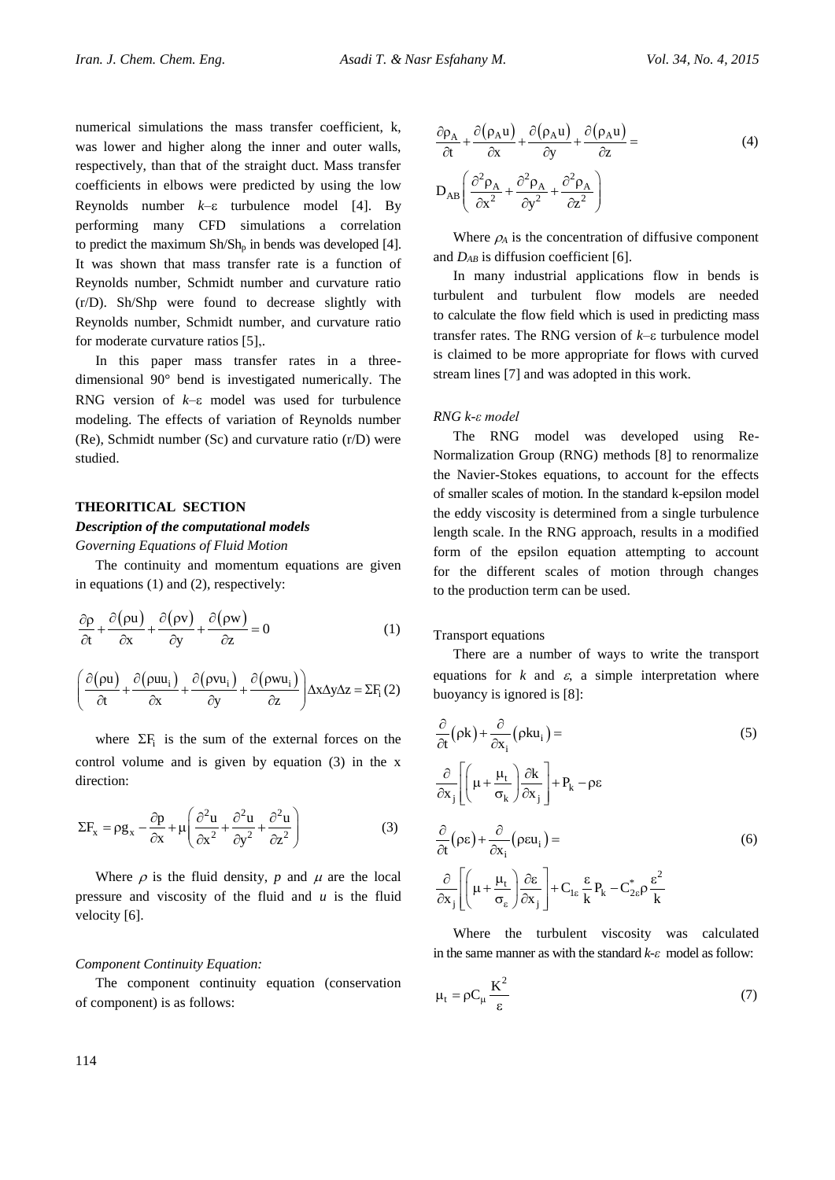numerical simulations the mass transfer coefficient, k, was lower and higher along the inner and outer walls, respectively, than that of the straight duct. Mass transfer coefficients in elbows were predicted by using the low Reynolds number  $k$ – $\varepsilon$  turbulence model [4]. By performing many CFD simulations a correlation to predict the maximum  $\text{Sh}/\text{Sh}_{p}$  in bends was developed [4]. It was shown that mass transfer rate is a function of Reynolds number, Schmidt number and curvature ratio (r/D). Sh/Shp were found to decrease slightly with Reynolds number, Schmidt number, and curvature ratio for moderate curvature ratios [5],.

In this paper mass transfer rates in a threedimensional 90° bend is investigated numerically. The RNG version of  $k$ – $\varepsilon$  model was used for turbulence modeling. The effects of variation of Reynolds number (Re), Schmidt number (Sc) and curvature ratio (r/D) were studied.

#### **THEORITICAL SECTION**

## *Description of the computational models*

*Governing Equations of Fluid Motion*

The continuity and momentum equations are given in equations (1) and (2), respectively:

$$
\frac{\partial \rho}{\partial t} + \frac{\partial (\rho u)}{\partial x} + \frac{\partial (\rho v)}{\partial y} + \frac{\partial (\rho w)}{\partial z} = 0
$$
 (1)

$$
\left(\frac{\partial (\rho \mathbf{u})}{\partial t} + \frac{\partial (\rho \mathbf{u} \mathbf{u}_i)}{\partial x} + \frac{\partial (\rho \mathbf{v} \mathbf{u}_i)}{\partial y} + \frac{\partial (\rho \mathbf{w} \mathbf{u}_i)}{\partial z}\right) \Delta x \Delta y \Delta z = \Sigma F_i(2)
$$

where  $\Sigma F_i$  is the sum of the external forces on the control volume and is given by equation (3) in the x direction:

$$
\Sigma F_x = \rho g_x - \frac{\partial p}{\partial x} + \mu \left( \frac{\partial^2 u}{\partial x^2} + \frac{\partial^2 u}{\partial y^2} + \frac{\partial^2 u}{\partial z^2} \right)
$$
(3)

Where  $\rho$  is the fluid density,  $p$  and  $\mu$  are the local pressure and viscosity of the fluid and *u* is the fluid velocity [6].

#### *Component Continuity Equation:*

The component continuity equation (conservation of component) is as follows:

$$
\frac{\partial \rho_A}{\partial t} + \frac{\partial (\rho_A u)}{\partial x} + \frac{\partial (\rho_A u)}{\partial y} + \frac{\partial (\rho_A u)}{\partial z} =
$$
\n
$$
D_{AB} \left( \frac{\partial^2 \rho_A}{\partial x^2} + \frac{\partial^2 \rho_A}{\partial y^2} + \frac{\partial^2 \rho_A}{\partial z^2} \right)
$$
\n(4)

Where  $\rho_A$  is the concentration of diffusive component and *DAB* is diffusion coefficient [6].

In many industrial applications flow in bends is turbulent and turbulent flow models are needed to calculate the flow field which is used in predicting mass transfer rates. The RNG version of  $k$ – $\varepsilon$  turbulence model is claimed to be more appropriate for flows with curved stream lines [7] and was adopted in this work.

#### *RNG k-ε model*

The RNG model was developed using Re-Normalization Group (RNG) methods [8] to renormalize the Navier-Stokes equations, to account for the effects of smaller scales of motion. In the standard k-epsilon model the eddy viscosity is determined from a single turbulence length scale. In the RNG approach, results in a modified form of the epsilon equation attempting to account for the different scales of motion through changes to the production term can be used.

## Transport equations

There are a number of ways to write the transport equations for  $k$  and  $\varepsilon$ , a simple interpretation where buoyancy is ignored is [8]:

$$
\frac{\partial}{\partial t} (\rho k) + \frac{\partial}{\partial x_i} (\rho k u_i) =
$$
\n
$$
\frac{\partial}{\partial x_j} \left[ \left( \mu + \frac{\mu_t}{\sigma_k} \right) \frac{\partial k}{\partial x_j} \right] + P_k - \rho \varepsilon
$$
\n
$$
\frac{\partial}{\partial t} (\rho \varepsilon) + \frac{\partial}{\partial x_i} (\rho \varepsilon u_i) =
$$
\n
$$
\frac{\partial}{\partial x_j} \left[ \left( \mu + \frac{\mu_t}{\sigma_\varepsilon} \right) \frac{\partial \varepsilon}{\partial x_j} \right] + C_{1\varepsilon} \frac{\varepsilon}{k} P_k - C_{2\varepsilon}^* \rho \frac{\varepsilon^2}{k}
$$
\n(6)

Where the turbulent viscosity was calculated in the same manner as with the standard *k-ε* model as follow:

$$
\mu_t = \rho C_\mu \frac{K^2}{\varepsilon} \tag{7}
$$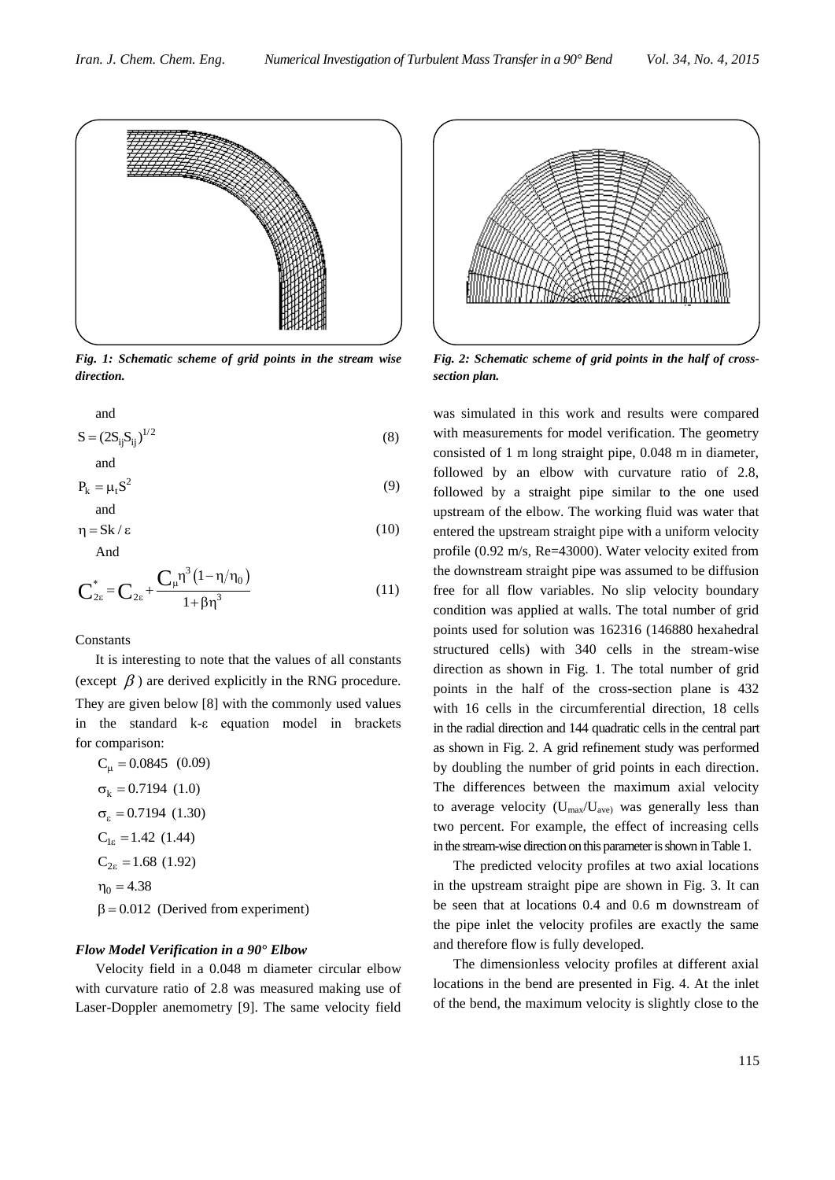

*Fig. 1: Schematic scheme of grid points in the stream wise direction.*

and  
\n
$$
S = (2S_{ij}S_{ij})^{1/2}
$$
\n(8)

and  
\n
$$
P_k = \mu_t S^2
$$
\n(9)

$$
\eta = \text{Sk}/\varepsilon \tag{10}
$$

And

$$
C_{2\varepsilon}^* = C_{2\varepsilon} + \frac{C_{\mu} \eta^3 (1 - \eta/\eta_0)}{1 + \beta \eta^3}
$$
 (11)

Constants

It is interesting to note that the values of all constants (except  $\beta$ ) are derived explicitly in the RNG procedure. They are given below [8] with the commonly used values in the standard k-ε equation model in brackets for comparison:

 $C_{\mu} = 0.0845$  (0.09)  $\sigma_{k} = 0.7194(1.0)$  $\sigma_{\varepsilon} = 0.7194$  (1.30)  $C_{1\varepsilon} = 1.42$  (1.44)  $C_{2\varepsilon}$  = 1.68 (1.92)  $\eta_0 = 4.38$  $\beta$  = 0.012 (Derived from experiment)

#### *Flow Model Verification in a 90° Elbow*

Velocity field in a 0.048 m diameter circular elbow with curvature ratio of 2.8 was measured making use of Laser-Doppler anemometry [9]. The same velocity field



*Fig. 2: Schematic scheme of grid points in the half of crosssection plan.*

was simulated in this work and results were compared with measurements for model verification. The geometry consisted of 1 m long straight pipe, 0.048 m in diameter, followed by an elbow with curvature ratio of 2.8, followed by a straight pipe similar to the one used upstream of the elbow. The working fluid was water that entered the upstream straight pipe with a uniform velocity profile (0.92 m/s, Re=43000). Water velocity exited from the downstream straight pipe was assumed to be diffusion free for all flow variables. No slip velocity boundary condition was applied at walls. The total number of grid points used for solution was 162316 (146880 hexahedral structured cells) with 340 cells in the stream-wise direction as shown in Fig. 1. The total number of grid points in the half of the cross-section plane is 432 with 16 cells in the circumferential direction, 18 cells in the radial direction and 144 quadratic cells in the central part as shown in Fig. 2. A grid refinement study was performed by doubling the number of grid points in each direction. The differences between the maximum axial velocity to average velocity (Umax/Uave) was generally less than two percent. For example, the effect of increasing cells in the stream-wise direction on this parameter is shown in Table 1.

The predicted velocity profiles at two axial locations in the upstream straight pipe are shown in Fig. 3. It can be seen that at locations 0.4 and 0.6 m downstream of the pipe inlet the velocity profiles are exactly the same and therefore flow is fully developed.

The dimensionless velocity profiles at different axial locations in the bend are presented in Fig. 4. At the inlet of the bend, the maximum velocity is slightly close to the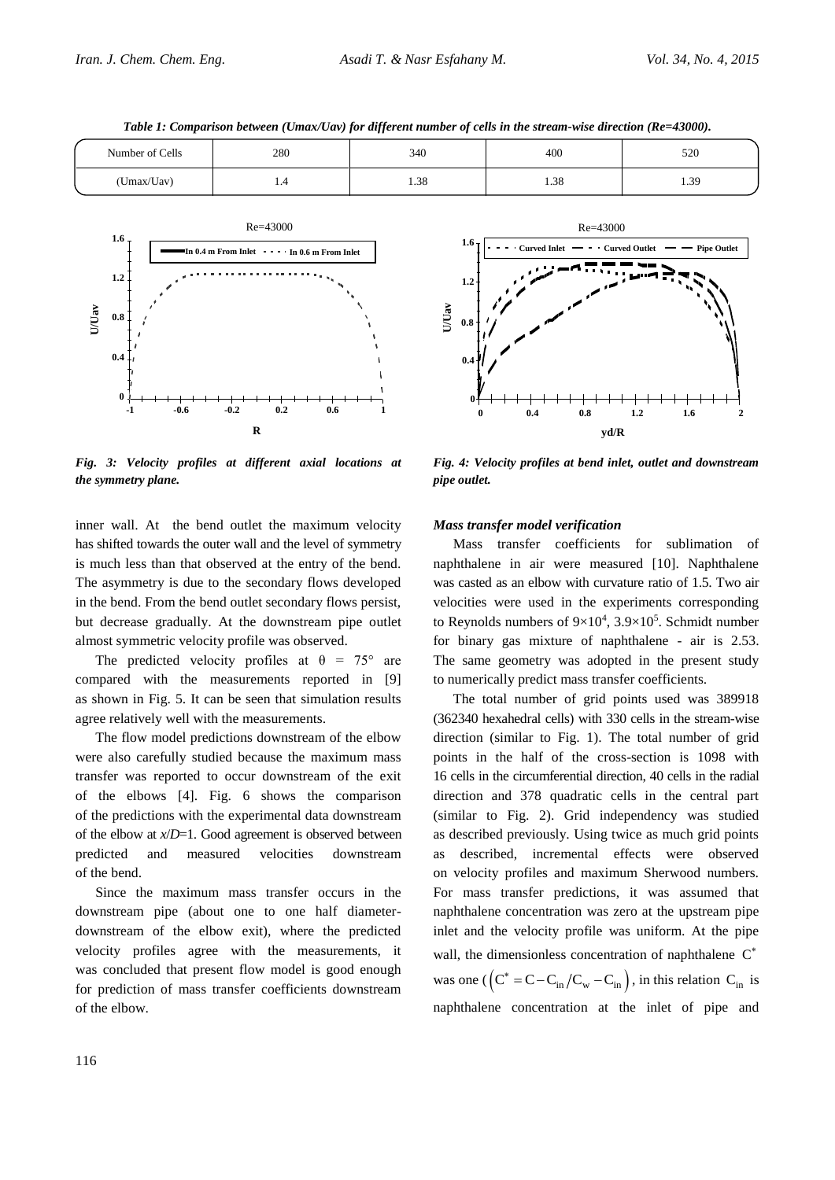



*Fig. 3: Velocity profiles at different axial locations at the symmetry plane.*

inner wall. At the bend outlet the maximum velocity has shifted towards the outer wall and the level of symmetry is much less than that observed at the entry of the bend. The asymmetry is due to the secondary flows developed in the bend. From the bend outlet secondary flows persist, but decrease gradually. At the downstream pipe outlet almost symmetric velocity profile was observed.

The predicted velocity profiles at  $\theta = 75^{\circ}$  are compared with the measurements reported in [9] as shown in Fig. 5. It can be seen that simulation results agree relatively well with the measurements.

The flow model predictions downstream of the elbow were also carefully studied because the maximum mass transfer was reported to occur downstream of the exit of the elbows [4]. Fig. 6 shows the comparison of the predictions with the experimental data downstream of the elbow at *x*/*D*=1. Good agreement is observed between predicted and measured velocities downstream of the bend.

Since the maximum mass transfer occurs in the downstream pipe (about one to one half diameterdownstream of the elbow exit), where the predicted velocity profiles agree with the measurements, it was concluded that present flow model is good enough for prediction of mass transfer coefficients downstream of the elbow.



*Fig. 4: Velocity profiles at bend inlet, outlet and downstream pipe outlet.*

#### *Mass transfer model verification*

Mass transfer coefficients for sublimation of naphthalene in air were measured [10]. Naphthalene was casted as an elbow with curvature ratio of 1.5. Two air velocities were used in the experiments corresponding to Reynolds numbers of  $9 \times 10^4$ ,  $3.9 \times 10^5$ . Schmidt number for binary gas mixture of naphthalene - air is 2.53. The same geometry was adopted in the present study to numerically predict mass transfer coefficients.

The total number of grid points used was 389918 (362340 hexahedral cells) with 330 cells in the stream-wise direction (similar to Fig. 1). The total number of grid points in the half of the cross-section is 1098 with 16 cells in the circumferential direction, 40 cells in the radial direction and 378 quadratic cells in the central part (similar to Fig. 2). Grid independency was studied as described previously. Using twice as much grid points as described, incremental effects were observed on velocity profiles and maximum Sherwood numbers. For mass transfer predictions, it was assumed that naphthalene concentration was zero at the upstream pipe inlet and the velocity profile was uniform. At the pipe wall, the dimensionless concentration of naphthalene C<sup>\*</sup> was one ( $(C^* = C - C_{in}/C_w - C_{in})$ , in this relation  $C_{in}$  is naphthalene concentration at the inlet of pipe and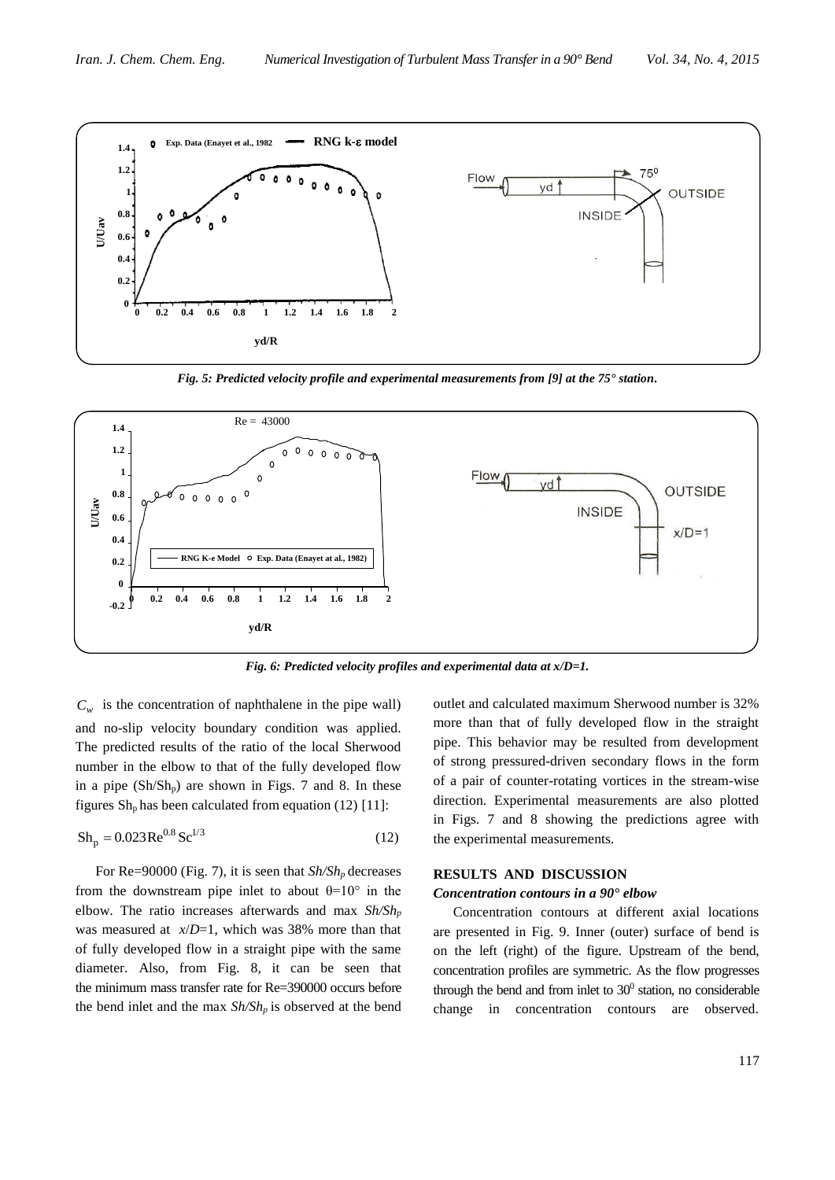

*Fig. 5: Predicted velocity profile and experimental measurements from [9] at the 75° station.*



*Fig. 6: Predicted velocity profiles and experimental data at x/D=1.*

 $C_w$  is the concentration of naphthalene in the pipe wall) and no-slip velocity boundary condition was applied. The predicted results of the ratio of the local Sherwood number in the elbow to that of the fully developed flow in a pipe  $(Sh/Sh<sub>p</sub>)$  are shown in Figs. 7 and 8. In these figures  $Sh_p$  has been calculated from equation (12) [11]:

$$
Sh_{p} = 0.023 \text{Re}^{0.8} \text{Sc}^{1/3}
$$
 (12)

For Re=90000 (Fig. 7), it is seen that *Sh/Sh<sup>p</sup>* decreases from the downstream pipe inlet to about  $\theta=10^{\circ}$  in the elbow. The ratio increases afterwards and max *Sh/Sh<sup>p</sup>* was measured at *x*/*D*=1, which was 38% more than that of fully developed flow in a straight pipe with the same diameter. Also, from Fig. 8, it can be seen that the minimum mass transfer rate for Re=390000 occurs before the bend inlet and the max *Sh/Sh<sup>p</sup>* is observed at the bend outlet and calculated maximum Sherwood number is 32% more than that of fully developed flow in the straight pipe. This behavior may be resulted from development of strong pressured-driven secondary flows in the form of a pair of counter-rotating vortices in the stream-wise direction. Experimental measurements are also plotted in Figs. 7 and 8 showing the predictions agree with the experimental measurements.

#### **RESULTS AND DISCUSSION**

#### *Concentration contours in a 90° elbow*

Concentration contours at different axial locations are presented in Fig. 9. Inner (outer) surface of bend is on the left (right) of the figure. Upstream of the bend, concentration profiles are symmetric. As the flow progresses through the bend and from inlet to  $30^0$  station, no considerable change in concentration contours are observed.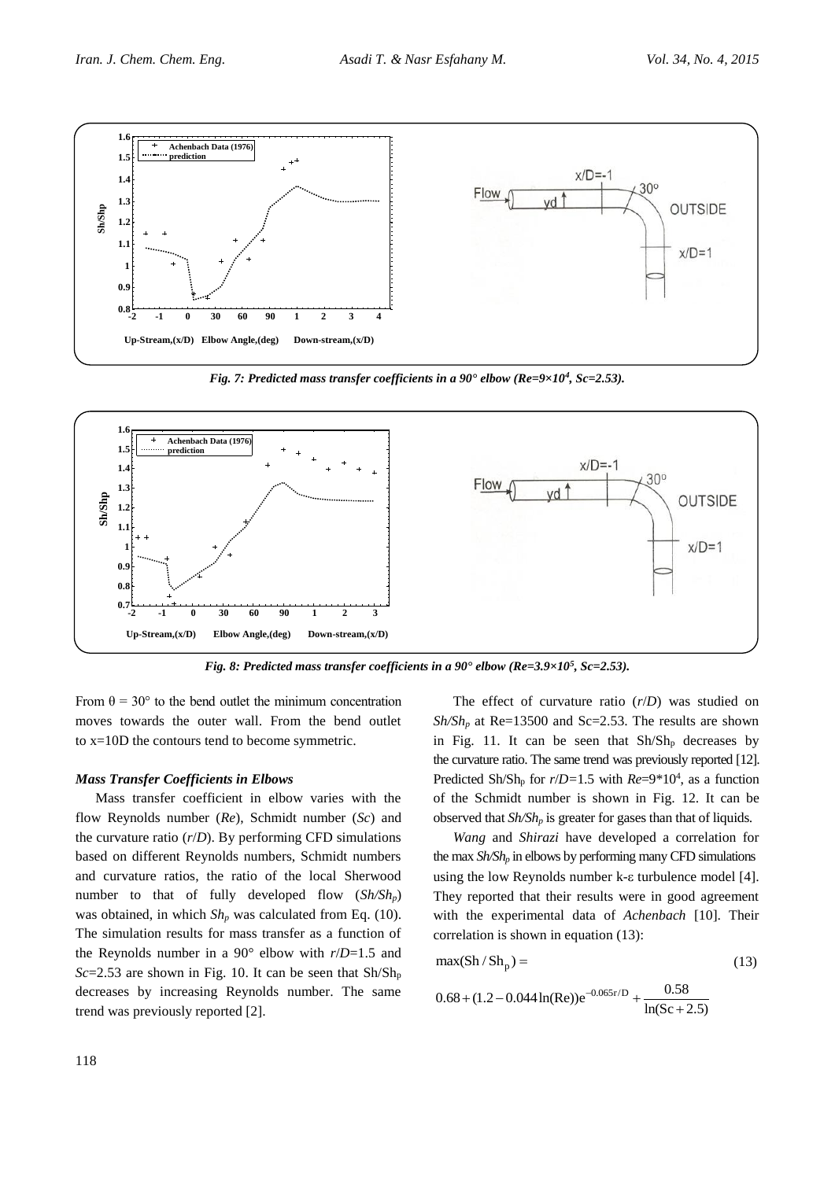

*Fig. 7: Predicted mass transfer coefficients in a 90° elbow (Re=9×10<sup>4</sup> , Sc=2.53).*



*Fig. 8: Predicted mass transfer coefficients in a 90° elbow (Re=3.9×10<sup>5</sup> , Sc=2.53).*

From  $\theta = 30^{\circ}$  to the bend outlet the minimum concentration moves towards the outer wall. From the bend outlet to x=10D the contours tend to become symmetric.

#### *Mass Transfer Coefficients in Elbows*

Mass transfer coefficient in elbow varies with the flow Reynolds number (*Re*), Schmidt number (*Sc*) and the curvature ratio  $(r/D)$ . By performing CFD simulations based on different Reynolds numbers, Schmidt numbers and curvature ratios, the ratio of the local Sherwood number to that of fully developed flow (*Sh/Shp*) was obtained, in which  $Sh_p$  was calculated from Eq. (10). The simulation results for mass transfer as a function of the Reynolds number in a 90° elbow with *r*/*D*=1.5 and *Sc*=2.53 are shown in Fig. 10. It can be seen that Sh/Sh<sup>p</sup> decreases by increasing Reynolds number. The same trend was previously reported [2].

The effect of curvature ratio (*r*/*D*) was studied on  $Sh/Sh_p$  at Re=13500 and Sc=2.53. The results are shown in Fig. 11. It can be seen that  $\text{Sh}/\text{Sh}_{p}$  decreases by the curvature ratio. The same trend was previously reported [12]. Predicted Sh/Sh<sub>p</sub> for  $r/D=1.5$  with  $Re=9*10^4$ , as a function of the Schmidt number is shown in Fig. 12. It can be observed that *Sh/Sh<sup>p</sup>* is greater for gases than that of liquids.

*Wang* and *Shirazi* have developed a correlation for the max *Sh/Sh<sup>p</sup>* in elbows by performing many CFD simulations using the low Reynolds number  $k$ - $\varepsilon$  turbulence model [4]. They reported that their results were in good agreement with the experimental data of *Achenbach* [10]. Their correlation is shown in equation (13):

$$
\max(\mathrm{Sh}/\mathrm{Sh}_{p}) = (13)
$$

$$
0.68 + (1.2 - 0.044 \ln(\text{Re}))e^{-0.065r/D} + \frac{0.58}{\ln(\text{Sc} + 2.5)}
$$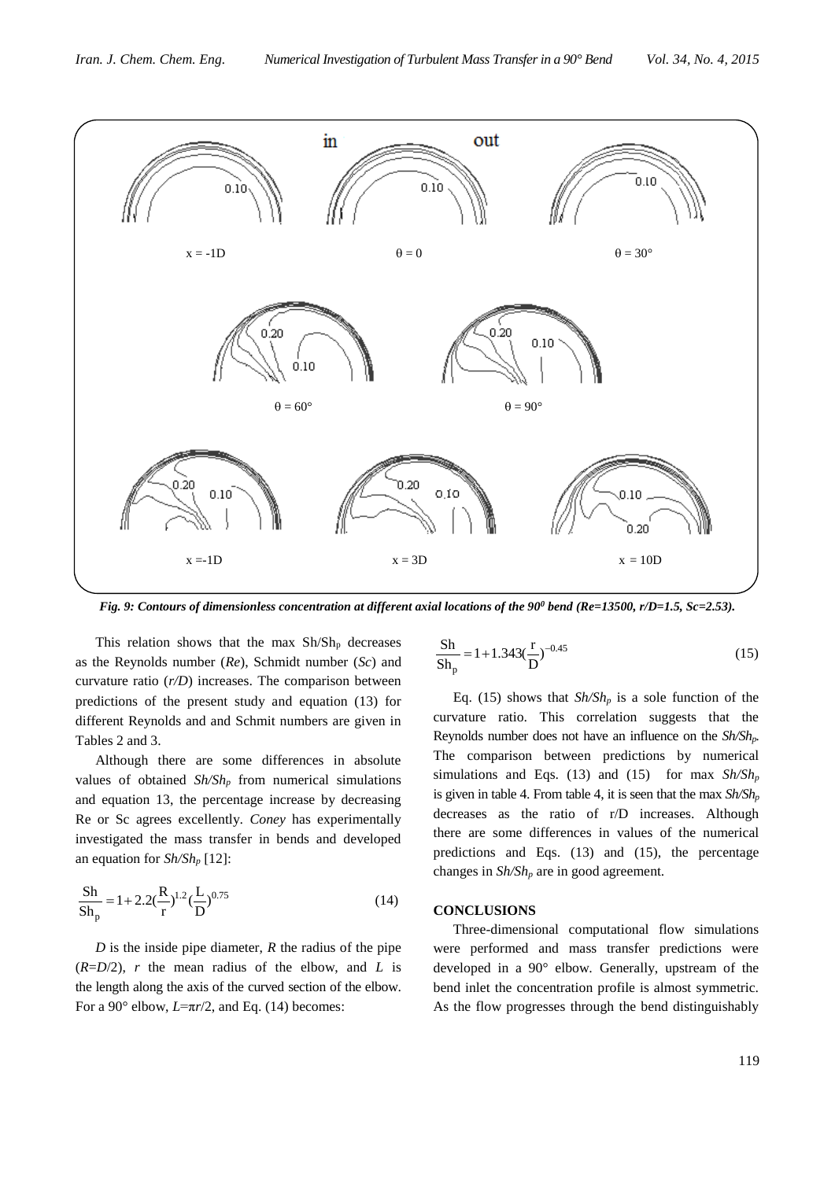

*Fig. 9: Contours of dimensionless concentration at different axial locations of the 90<sup>0</sup> bend (Re=13500, r/D=1.5, Sc=2.53).*

This relation shows that the max  $\text{Sh}/\text{Sh}_{p}$  decreases as the Reynolds number (*Re*), Schmidt number (*Sc*) and curvature ratio (*r/D*) increases. The comparison between predictions of the present study and equation (13) for different Reynolds and and Schmit numbers are given in Tables 2 and 3.

Although there are some differences in absolute values of obtained *Sh/Sh<sup>p</sup>* from numerical simulations and equation 13, the percentage increase by decreasing Re or Sc agrees excellently. *Coney* has experimentally investigated the mass transfer in bends and developed an equation for *Sh/Sh<sup>p</sup>* [12]:

$$
\frac{Sh}{Sh_p} = 1 + 2.2(\frac{R}{r})^{1.2}(\frac{L}{D})^{0.75}
$$
 (14)

*D* is the inside pipe diameter, *R* the radius of the pipe  $(R=D/2)$ , *r* the mean radius of the elbow, and *L* is the length along the axis of the curved section of the elbow. For a 90 $^{\circ}$  elbow,  $L=\pi r/2$ , and Eq. (14) becomes:

$$
\frac{Sh}{Sh_p} = 1 + 1.343 \left(\frac{r}{D}\right)^{-0.45}
$$
 (15)

Eq. (15) shows that  $\frac{Sh}{Sh_p}$  is a sole function of the curvature ratio. This correlation suggests that the Reynolds number does not have an influence on the *Sh/Shp.* The comparison between predictions by numerical simulations and Eqs. (13) and (15) for max  $\frac{Sh}{Sh_p}$ is given in table 4. From table 4, it is seen that the max  $\mathcal{S}h/\mathcal{S}h_p$ decreases as the ratio of r/D increases. Although there are some differences in values of the numerical predictions and Eqs. (13) and (15), the percentage changes in *Sh/Sh<sup>p</sup>* are in good agreement.

#### **CONCLUSIONS**

Three-dimensional computational flow simulations were performed and mass transfer predictions were developed in a 90° elbow. Generally, upstream of the bend inlet the concentration profile is almost symmetric. As the flow progresses through the bend distinguishably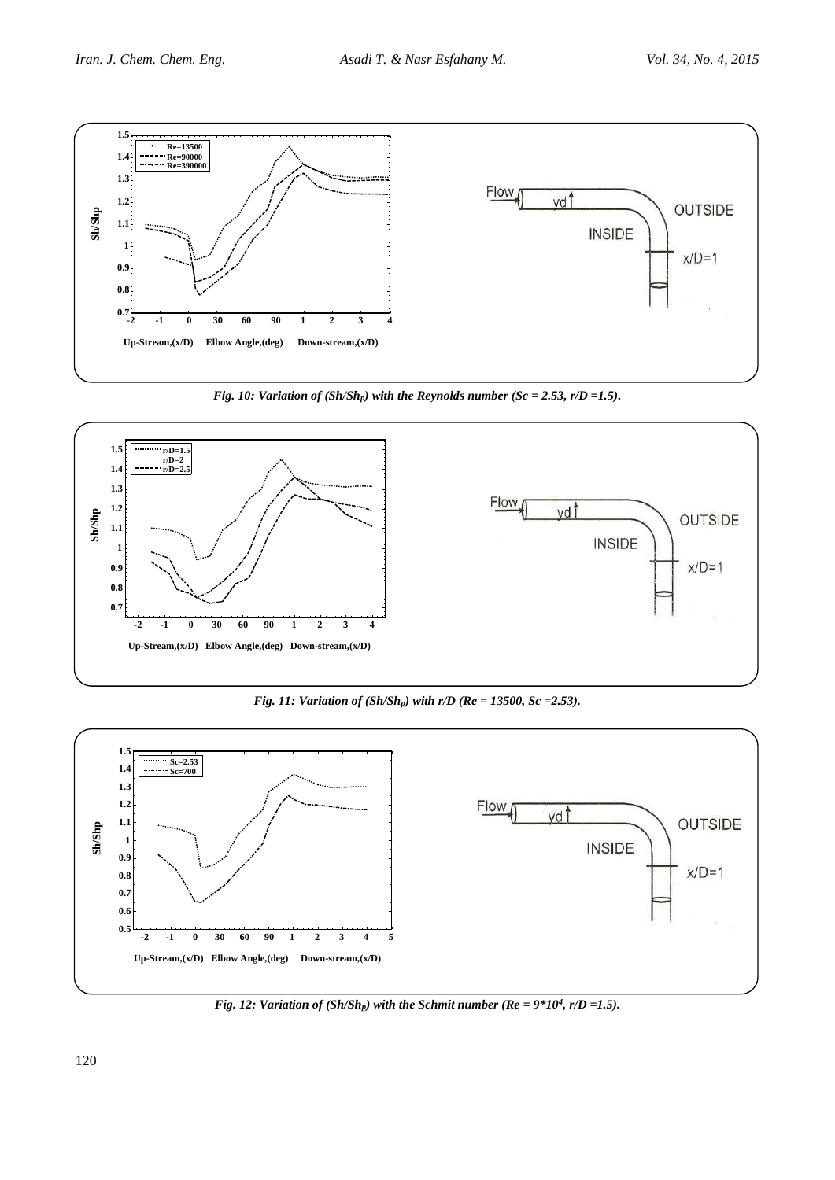

*Fig. 10: Variation of (Sh/Shp) with the Reynolds number (Sc = 2.53, r/D =1.5).*



*Fig. 11: Variation of (Sh/Shp) with r/D (Re = 13500, Sc =2.53).*



*Fig. 12: Variation of (Sh/Sh<sub>p</sub>) with the Schmit number (Re =*  $9*10^4$ *, r/D =1.5).*